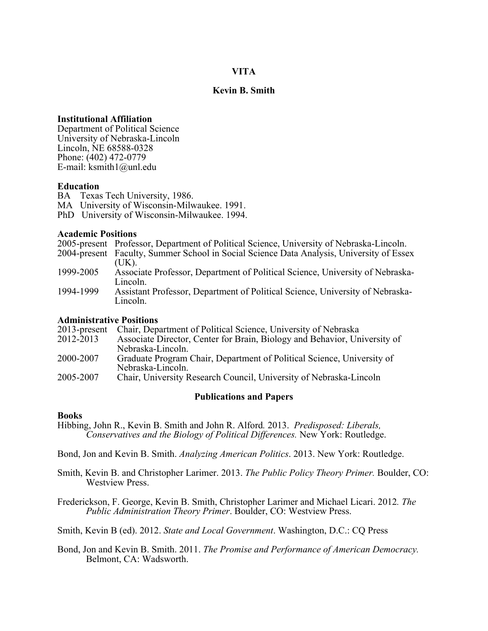# **VITA**

#### **Kevin B. Smith**

### **Institutional Affiliation**

Department of Political Science University of Nebraska-Lincoln Lincoln, NE 68588-0328 Phone: (402) 472-0779 E-mail: ksmith $1$ @unl.edu

#### **Education**

BA Texas Tech University, 1986. MA University of Wisconsin-Milwaukee. 1991. PhD University of Wisconsin-Milwaukee. 1994.

#### **Academic Positions**

2005-present Professor, Department of Political Science, University of Nebraska-Lincoln.

- 2004-present Faculty, Summer School in Social Science Data Analysis, University of Essex (UK).
- 1999-2005 Associate Professor, Department of Political Science, University of Nebraska- Lincoln.
- 1994-1999 Assistant Professor, Department of Political Science, University of Nebraska- Lincoln.

#### **Administrative Positions**

| AUMINISTI ATIVU TUSITUMS |                                                                           |
|--------------------------|---------------------------------------------------------------------------|
| 2013-present             | Chair, Department of Political Science, University of Nebraska            |
| 2012-2013                | Associate Director, Center for Brain, Biology and Behavior, University of |
|                          | Nebraska-Lincoln.                                                         |
| 2000-2007                | Graduate Program Chair, Department of Political Science, University of    |
|                          | Nebraska-Lincoln.                                                         |
| 2005-2007                | Chair, University Research Council, University of Nebraska-Lincoln        |
|                          |                                                                           |

## **Publications and Papers**

#### **Books**

- Hibbing, John R., Kevin B. Smith and John R. Alford*.* 2013. *Predisposed: Liberals, Conservatives and the Biology of Political Differences.* New York: Routledge.
- Bond, Jon and Kevin B. Smith. *Analyzing American Politics*. 2013. New York: Routledge.
- Smith, Kevin B. and Christopher Larimer. 2013. *The Public Policy Theory Primer.* Boulder, CO: Westview Press.

Frederickson, F. George, Kevin B. Smith, Christopher Larimer and Michael Licari. 2012*. The Public Administration Theory Primer*. Boulder, CO: Westview Press.

Smith, Kevin B (ed). 2012. *State and Local Government*. Washington, D.C.: CQ Press

Bond, Jon and Kevin B. Smith. 2011. *The Promise and Performance of American Democracy.* Belmont, CA: Wadsworth.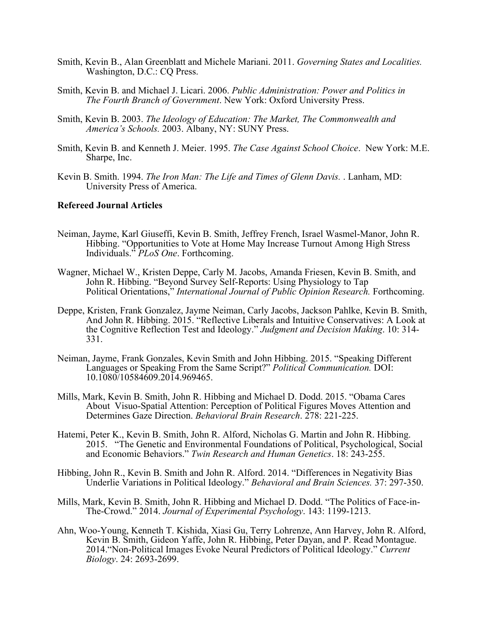- Smith, Kevin B., Alan Greenblatt and Michele Mariani. 2011. *Governing States and Localities.* Washington, D.C.: CQ Press.
- Smith, Kevin B. and Michael J. Licari. 2006. *Public Administration: Power and Politics in The Fourth Branch of Government*. New York: Oxford University Press.
- Smith, Kevin B. 2003. *The Ideology of Education: The Market, The Commonwealth and America's Schools.* 2003. Albany, NY: SUNY Press.
- Smith, Kevin B. and Kenneth J. Meier. 1995. *The Case Against School Choice*. New York: M.E. Sharpe, Inc.
- Kevin B. Smith. 1994. *The Iron Man: The Life and Times of Glenn Davis.* . Lanham, MD: University Press of America.

#### **Refereed Journal Articles**

- Neiman, Jayme, Karl Giuseffi, Kevin B. Smith, Jeffrey French, Israel Wasmel-Manor, John R. Hibbing. "Opportunities to Vote at Home May Increase Turnout Among High Stress Individuals." *PLoS One*. Forthcoming.
- Wagner, Michael W., Kristen Deppe, Carly M. Jacobs, Amanda Friesen, Kevin B. Smith, and John R. Hibbing. "Beyond Survey Self-Reports: Using Physiology to Tap Political Orientations," *International Journal of Public Opinion Research.* Forthcoming.
- Deppe, Kristen, Frank Gonzalez, Jayme Neiman, Carly Jacobs, Jackson Pahlke, Kevin B. Smith, And John R. Hibbing. 2015. "Reflective Liberals and Intuitive Conservatives: A Look at the Cognitive Reflection Test and Ideology." *Judgment and Decision Making*. 10: 314- 331.
- Neiman, Jayme, Frank Gonzales, Kevin Smith and John Hibbing. 2015. "Speaking Different Languages or Speaking From the Same Script?" *Political Communication.* DOI: 10.1080/10584609.2014.969465.
- Mills, Mark, Kevin B. Smith, John R. Hibbing and Michael D. Dodd. 2015. "Obama Cares About Visuo-Spatial Attention: Perception of Political Figures Moves Attention and Determines Gaze Direction. *Behavioral Brain Research*. 278: 221-225.
- Hatemi, Peter K., Kevin B. Smith, John R. Alford, Nicholas G. Martin and John R. Hibbing. 2015. "The Genetic and Environmental Foundations of Political, Psychological, Social and Economic Behaviors." *Twin Research and Human Genetics*. 18: 243-255.
- Hibbing, John R., Kevin B. Smith and John R. Alford. 2014. "Differences in Negativity Bias Underlie Variations in Political Ideology." *Behavioral and Brain Sciences.* 37: 297-350.
- Mills, Mark, Kevin B. Smith, John R. Hibbing and Michael D. Dodd. "The Politics of Face-in-The-Crowd." 2014. *Journal of Experimental Psychology*. 143: 1199-1213.
- Ahn, Woo-Young, Kenneth T. Kishida, Xiasi Gu, Terry Lohrenze, Ann Harvey, John R. Alford, Kevin B. Smith, Gideon Yaffe, John R. Hibbing, Peter Dayan, and P. Read Montague. 2014."Non-Political Images Evoke Neural Predictors of Political Ideology." *Current Biology*. 24: 2693-2699.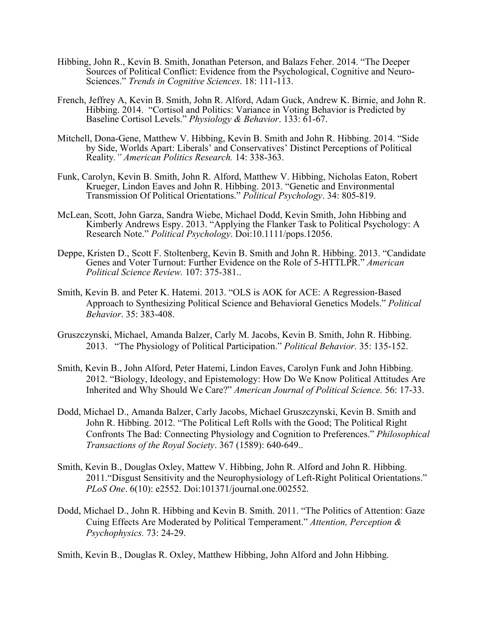- Hibbing, John R., Kevin B. Smith, Jonathan Peterson, and Balazs Feher. 2014. "The Deeper Sources of Political Conflict: Evidence from the Psychological, Cognitive and Neuro-Sciences." *Trends in Cognitive Sciences*. 18: 111-113.
- French, Jeffrey A, Kevin B. Smith, John R. Alford, Adam Guck, Andrew K. Birnie, and John R. Hibbing. 2014. "Cortisol and Politics: Variance in Voting Behavior is Predicted by Baseline Cortisol Levels." *Physiology & Behavior*. 133: 61-67.
- Mitchell, Dona-Gene, Matthew V. Hibbing, Kevin B. Smith and John R. Hibbing. 2014. "Side by Side, Worlds Apart: Liberals' and Conservatives' Distinct Perceptions of Political Reality*." American Politics Research.* 14: 338-363.
- Funk, Carolyn, Kevin B. Smith, John R. Alford, Matthew V. Hibbing, Nicholas Eaton, Robert Krueger, Lindon Eaves and John R. Hibbing. 2013. "Genetic and Environmental Transmission Of Political Orientations." *Political Psychology*. 34: 805-819.
- McLean, Scott, John Garza, Sandra Wiebe, Michael Dodd, Kevin Smith, John Hibbing and Kimberly Andrews Espy. 2013. "Applying the Flanker Task to Political Psychology: A Research Note." *Political Psychology*. Doi:10.1111/pops.12056.
- Deppe, Kristen D., Scott F. Stoltenberg, Kevin B. Smith and John R. Hibbing. 2013. "Candidate Genes and Voter Turnout: Further Evidence on the Role of 5-HTTLPR." *American Political Science Review.* 107: 375-381..
- Smith, Kevin B. and Peter K. Hatemi. 2013. "OLS is AOK for ACE: A Regression-Based Approach to Synthesizing Political Science and Behavioral Genetics Models." *Political Behavior*. 35: 383-408.
- Gruszczynski, Michael, Amanda Balzer, Carly M. Jacobs, Kevin B. Smith, John R. Hibbing. 2013. "The Physiology of Political Participation." *Political Behavior*. 35: 135-152.
- Smith, Kevin B., John Alford, Peter Hatemi, Lindon Eaves, Carolyn Funk and John Hibbing. 2012. "Biology, Ideology, and Epistemology: How Do We Know Political Attitudes Are Inherited and Why Should We Care?" *American Journal of Political Science.* 56: 17-33.
- Dodd, Michael D., Amanda Balzer, Carly Jacobs, Michael Gruszczynski, Kevin B. Smith and John R. Hibbing. 2012. "The Political Left Rolls with the Good; The Political Right Confronts The Bad: Connecting Physiology and Cognition to Preferences." *Philosophical Transactions of the Royal Society*. 367 (1589): 640-649..
- Smith, Kevin B., Douglas Oxley, Mattew V. Hibbing, John R. Alford and John R. Hibbing. 2011."Disgust Sensitivity and the Neurophysiology of Left-Right Political Orientations." *PLoS One*. 6(10): e2552. Doi:101371/journal.one.002552.
- Dodd, Michael D., John R. Hibbing and Kevin B. Smith. 2011. "The Politics of Attention: Gaze Cuing Effects Are Moderated by Political Temperament." *Attention, Perception & Psychophysics.* 73: 24-29.

Smith, Kevin B., Douglas R. Oxley, Matthew Hibbing, John Alford and John Hibbing.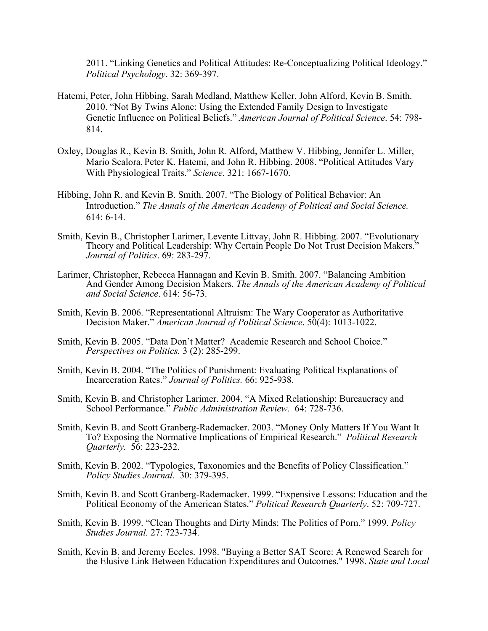2011. "Linking Genetics and Political Attitudes: Re-Conceptualizing Political Ideology." *Political Psychology*. 32: 369-397.

- Hatemi, Peter, John Hibbing, Sarah Medland, Matthew Keller, John Alford, Kevin B. Smith. 2010. "Not By Twins Alone: Using the Extended Family Design to Investigate Genetic Influence on Political Beliefs." *American Journal of Political Science*. 54: 798- 814.
- Oxley, Douglas R., Kevin B. Smith, John R. Alford, Matthew V. Hibbing, Jennifer L. Miller, Mario Scalora, Peter K. Hatemi, and John R. Hibbing. 2008. "Political Attitudes Vary With Physiological Traits." *Science*. 321: 1667-1670.
- Hibbing, John R. and Kevin B. Smith. 2007. "The Biology of Political Behavior: An Introduction." *The Annals of the American Academy of Political and Social Science.*  $614 \cdot 6 - 14$
- Smith, Kevin B., Christopher Larimer, Levente Littvay, John R. Hibbing. 2007. "Evolutionary Theory and Political Leadership: Why Certain People Do Not Trust Decision Makers." *Journal of Politics*. 69: 283-297.
- Larimer, Christopher, Rebecca Hannagan and Kevin B. Smith. 2007. "Balancing Ambition And Gender Among Decision Makers. *The Annals of the American Academy of Political and Social Science*. 614: 56-73.
- Smith, Kevin B. 2006. "Representational Altruism: The Wary Cooperator as Authoritative Decision Maker." *American Journal of Political Science*. 50(4): 1013-1022.
- Smith, Kevin B. 2005. "Data Don't Matter? Academic Research and School Choice." *Perspectives on Politics.* 3 (2): 285-299.
- Smith, Kevin B. 2004. "The Politics of Punishment: Evaluating Political Explanations of Incarceration Rates." *Journal of Politics.* 66: 925-938.
- Smith, Kevin B. and Christopher Larimer. 2004. "A Mixed Relationship: Bureaucracy and School Performance." *Public Administration Review.* 64: 728-736.
- Smith, Kevin B. and Scott Granberg-Rademacker. 2003. "Money Only Matters If You Want It To? Exposing the Normative Implications of Empirical Research." *Political Research Quarterly.* 56: 223-232.
- Smith, Kevin B. 2002. "Typologies, Taxonomies and the Benefits of Policy Classification." *Policy Studies Journal.* 30: 379-395.
- Smith, Kevin B. and Scott Granberg-Rademacker. 1999. "Expensive Lessons: Education and the Political Economy of the American States." *Political Research Quarterly*. 52: 709-727.
- Smith, Kevin B. 1999. "Clean Thoughts and Dirty Minds: The Politics of Porn." 1999. *Policy Studies Journal.* 27: 723-734.
- Smith, Kevin B. and Jeremy Eccles. 1998. "Buying a Better SAT Score: A Renewed Search for the Elusive Link Between Education Expenditures and Outcomes." 1998. *State and Local*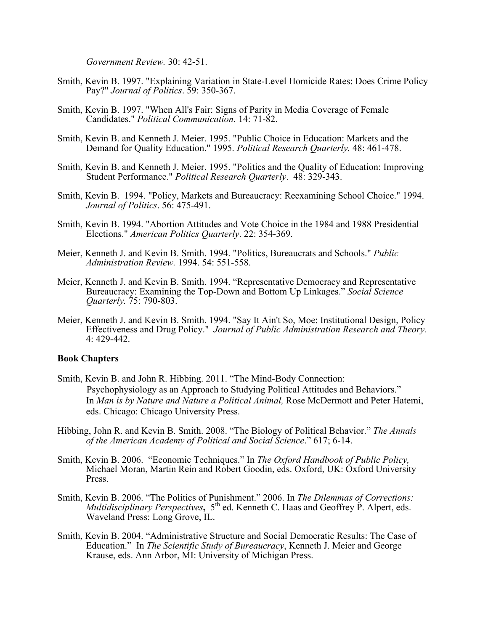*Government Review.* 30: 42-51.

- Smith, Kevin B. 1997. "Explaining Variation in State-Level Homicide Rates: Does Crime Policy Pay?" *Journal of Politics*. 59: 350-367.
- Smith, Kevin B. 1997. "When All's Fair: Signs of Parity in Media Coverage of Female Candidates." *Political Communication.* 14: 71-82.
- Smith, Kevin B. and Kenneth J. Meier. 1995. "Public Choice in Education: Markets and the Demand for Quality Education." 1995. *Political Research Quarterly.* 48: 461-478.
- Smith, Kevin B. and Kenneth J. Meier. 1995. "Politics and the Quality of Education: Improving Student Performance." *Political Research Quarterly*. 48: 329-343.
- Smith, Kevin B. 1994. "Policy, Markets and Bureaucracy: Reexamining School Choice." 1994. *Journal of Politics*. 56: 475-491.
- Smith, Kevin B. 1994. "Abortion Attitudes and Vote Choice in the 1984 and 1988 Presidential Elections." *American Politics Quarterly*. 22: 354-369.
- Meier, Kenneth J. and Kevin B. Smith. 1994. "Politics, Bureaucrats and Schools." *Public Administration Review.* 1994. 54: 551-558.
- Meier, Kenneth J. and Kevin B. Smith. 1994. "Representative Democracy and Representative Bureaucracy: Examining the Top-Down and Bottom Up Linkages." *Social Science Quarterly.* 75: 790-803.
- Meier, Kenneth J. and Kevin B. Smith. 1994. "Say It Ain't So, Moe: Institutional Design, Policy Effectiveness and Drug Policy." *Journal of Public Administration Research and Theory.* 4: 429-442.

## **Book Chapters**

- Smith, Kevin B. and John R. Hibbing. 2011. "The Mind-Body Connection: Psychophysiology as an Approach to Studying Political Attitudes and Behaviors." In *Man is by Nature and Nature a Political Animal,* Rose McDermott and Peter Hatemi, eds. Chicago: Chicago University Press.
- Hibbing, John R. and Kevin B. Smith. 2008. "The Biology of Political Behavior." *The Annals of the American Academy of Political and Social Science*." 617; 6-14.
- Smith, Kevin B. 2006. "Economic Techniques." In *The Oxford Handbook of Public Policy,*  Michael Moran, Martin Rein and Robert Goodin, eds. Oxford, UK: Oxford University Press.
- Smith, Kevin B. 2006. "The Politics of Punishment." 2006. In *The Dilemmas of Corrections: Multidisciplinary Perspectives*,  $5<sup>th</sup>$  ed. Kenneth C. Haas and Geoffrey P. Alpert, eds. Waveland Press: Long Grove, IL.
- Smith, Kevin B. 2004. "Administrative Structure and Social Democratic Results: The Case of Education." In *The Scientific Study of Bureaucracy*, Kenneth J. Meier and George Krause, eds. Ann Arbor, MI: University of Michigan Press.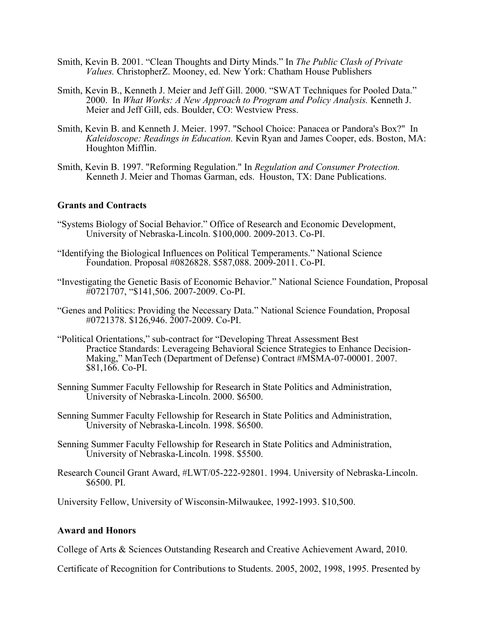- Smith, Kevin B. 2001. "Clean Thoughts and Dirty Minds." In *The Public Clash of Private Values.* ChristopherZ. Mooney, ed. New York: Chatham House Publishers
- Smith, Kevin B., Kenneth J. Meier and Jeff Gill. 2000. "SWAT Techniques for Pooled Data." 2000. In *What Works: A New Approach to Program and Policy Analysis.* Kenneth J. Meier and Jeff Gill, eds. Boulder, CO: Westview Press.
- Smith, Kevin B. and Kenneth J. Meier. 1997. "School Choice: Panacea or Pandora's Box?" In *Kaleidoscope: Readings in Education.* Kevin Ryan and James Cooper, eds. Boston, MA: Houghton Mifflin.
- Smith, Kevin B. 1997. "Reforming Regulation." In *Regulation and Consumer Protection.*  Kenneth J. Meier and Thomas Garman, eds. Houston, TX: Dane Publications.

## **Grants and Contracts**

- "Systems Biology of Social Behavior." Office of Research and Economic Development, University of Nebraska-Lincoln. \$100,000. 2009-2013. Co-PI.
- "Identifying the Biological Influences on Political Temperaments." National Science Foundation. Proposal #0826828. \$587,088. 2009-2011. Co-PI.
- "Investigating the Genetic Basis of Economic Behavior." National Science Foundation, Proposal #0721707, "\$141,506. 2007-2009. Co-PI.
- "Genes and Politics: Providing the Necessary Data." National Science Foundation, Proposal #0721378. \$126,946. 2007-2009. Co-PI.
- "Political Orientations," sub-contract for "Developing Threat Assessment Best Making," ManTech (Department of Defense) Contract #MSMA-07-00001. 2007. \$81,166. Co-PI.
- Senning Summer Faculty Fellowship for Research in State Politics and Administration, University of Nebraska-Lincoln. 2000. \$6500.
- Senning Summer Faculty Fellowship for Research in State Politics and Administration, University of Nebraska-Lincoln. 1998. \$6500.
- Senning Summer Faculty Fellowship for Research in State Politics and Administration, University of Nebraska-Lincoln. 1998. \$5500.
- Research Council Grant Award, #LWT/05-222-92801. 1994. University of Nebraska-Lincoln. \$6500. PI.

University Fellow, University of Wisconsin-Milwaukee, 1992-1993. \$10,500.

## **Award and Honors**

College of Arts & Sciences Outstanding Research and Creative Achievement Award, 2010.

Certificate of Recognition for Contributions to Students. 2005, 2002, 1998, 1995. Presented by